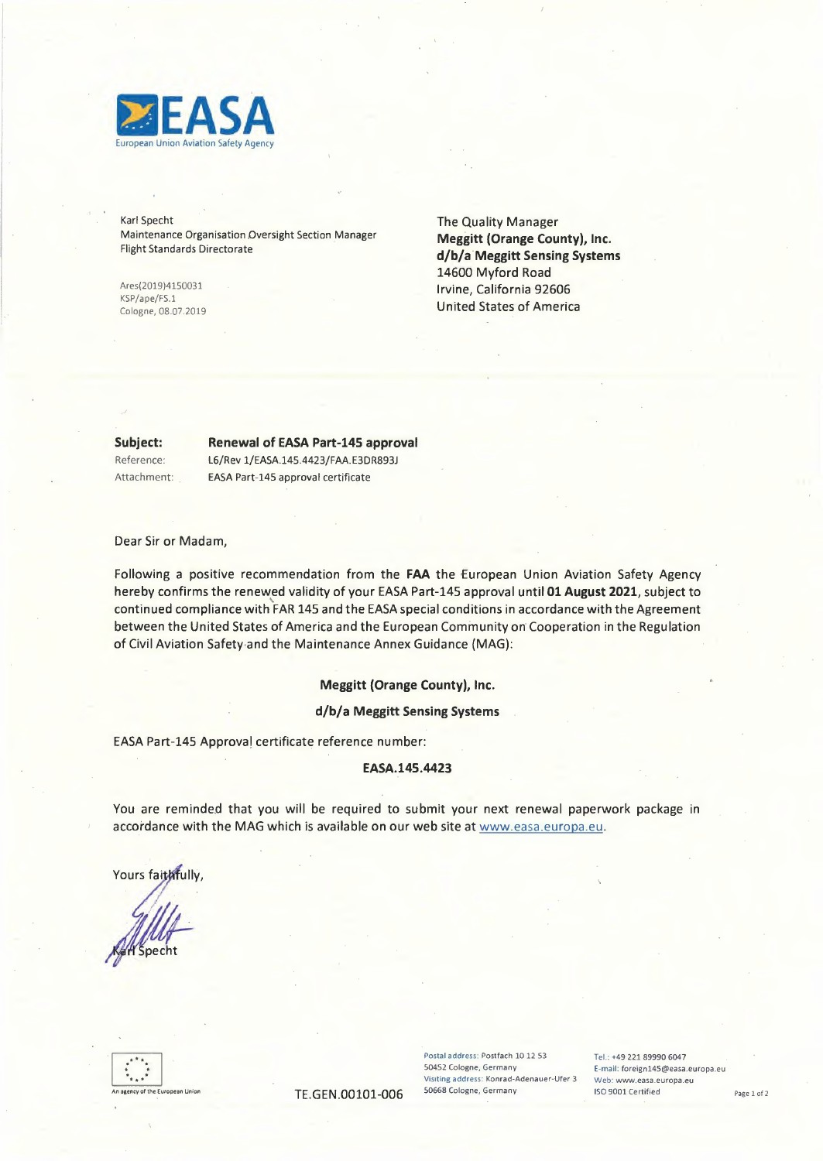

Karl Specht Maintenance Organisation Oversight Section \_Manager Flight Standards Directorate

Ares(2019)4150031 KSP/ape/FS.l Cologne, 08.07.2019 The Quality Manager Meggitt (Orange County), Inc. **d/b/a Meggitt Sensing Systems**  14600 Myford Road Irvine, California 92606 United States of America

**Subject:** 

# **Renewal** of EASA Part-145 approval

Reference: Attachment: L6/Rev 1/EASA.145.4423/FAA.E3DR893J EASA Part-145 approval certificate

Dear Sir or Madam,

Following a positive recommendation from the **FAA** the European Union Aviation Safety Agency hereby confirms the renewed validity of your EASA Part-145 approval until 01 August 2021, subject to continued compliance with FAR 145 and the EASA special conditions in accordance with the Agreement between the United States of America and the European Community on Cooperation in the Regulation of Civil Aviation Safety-and the Maintenance Annex Guidance (MAG):

### **Meggitt (Orange County), Inc.**

#### **d/b/a Meggitt Sensing Systems**

EASA Part-145 Approval certificate reference number:

#### **EASA.145.4423**

You are reminded that you will be required to submit your next renewal paperwork package in accordance with the MAG which is available on our web site at www.easa.europa.eu.

Yours faithfully,



Postal address: Postfach 10 12 53 Tel.: +49 221 89990 6047 50452 Cologne, Germany E-mail: foreign145@easa.europa.eu Visiting address: Konrad-Adenauer-Ufer 3 Web: www.easa.europa.eu<br>50668 Cologne, Germany 150 9001 Certified

TE.GEN.00101-006 50668 Cologne, Germany ISO 9001 Certified Page 1 of 2